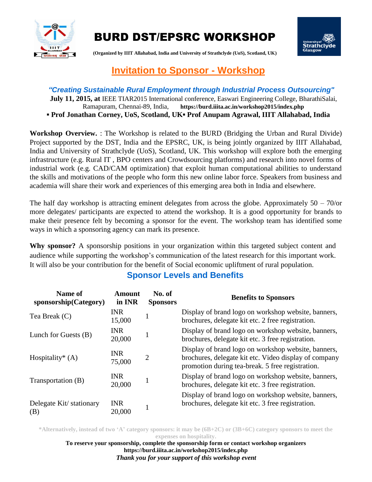

# BURD DST/EPSRC WORKSHOP



**(Organized by IIIT Allahabad, India and University of Strathclyde (UoS), Scotland, UK)**

## **Invitation to Sponsor - Workshop**

#### *"Creating Sustainable Rural Employment through Industrial Process Outsourcing"* **July 11, 2015, at** IEEE TIAR2015 International conference, Easwari Engineering College, BharathiSalai,

Ramapuram, Chennai-89, India, **https://burd.iiita.ac.in/workshop2015/index.php ▪ Prof Jonathan Corney, UoS, Scotland, UK▪ Prof Anupam Agrawal, IIIT Allahabad, India**

**Workshop Overview.** : The Workshop is related to the BURD (Bridging the Urban and Rural Divide) Project supported by the DST, India and the EPSRC, UK, is being jointly organized by IIIT Allahabad, India and University of Strathclyde (UoS), Scotland, UK. This workshop will explore both the emerging infrastructure (e.g. Rural IT , BPO centers and Crowdsourcing platforms) and research into novel forms of industrial work (e.g. CAD/CAM optimization) that exploit human computational abilities to understand the skills and motivations of the people who form this new online labor force. Speakers from business and academia will share their work and experiences of this emerging area both in India and elsewhere.

The half day workshop is attracting eminent delegates from across the globe. Approximately  $50 - 70$ /or more delegates/ participants are expected to attend the workshop. It is a good opportunity for brands to make their presence felt by becoming a sponsor for the event. The workshop team has identified some ways in which a sponsoring agency can mark its presence.

**Why sponsor?** A sponsorship positions in your organization within this targeted subject content and audience while supporting the workshop's communication of the latest research for this important work. It will also be your contribution for the benefit of Social economic upliftment of rural population.

### **Sponsor Levels and Benefits**

| Name of<br>sponsorship(Category) | Amount<br>in INR     | No. of<br><b>Sponsors</b> | <b>Benefits to Sponsors</b>                                                                                                                                      |
|----------------------------------|----------------------|---------------------------|------------------------------------------------------------------------------------------------------------------------------------------------------------------|
| Tea Break (C)                    | <b>INR</b><br>15,000 |                           | Display of brand logo on workshop website, banners,<br>brochures, delegate kit etc. 2 free registration.                                                         |
| Lunch for Guests (B)             | <b>INR</b><br>20,000 |                           | Display of brand logo on workshop website, banners,<br>brochures, delegate kit etc. 3 free registration.                                                         |
| Hospitality* $(A)$               | <b>INR</b><br>75,000 | $\overline{2}$            | Display of brand logo on workshop website, banners,<br>brochures, delegate kit etc. Video display of company<br>promotion during tea-break. 5 free registration. |
| Transportation (B)               | <b>INR</b><br>20,000 |                           | Display of brand logo on workshop website, banners,<br>brochures, delegate kit etc. 3 free registration.                                                         |
| Delegate Kit/stationary<br>(B)   | <b>INR</b><br>20,000 |                           | Display of brand logo on workshop website, banners,<br>brochures, delegate kit etc. 3 free registration.                                                         |

**\*Alternatively, instead of two 'A' category sponsors: it may be (6B+2C) or (3B+6C) category sponsors to meet the expenses on hospitality.**

**To reserve your sponsorship, complete the sponsorship form or contact workshop organizers https://burd.iiita.ac.in/workshop2015/index.php** *Thank you for your support of this workshop event*